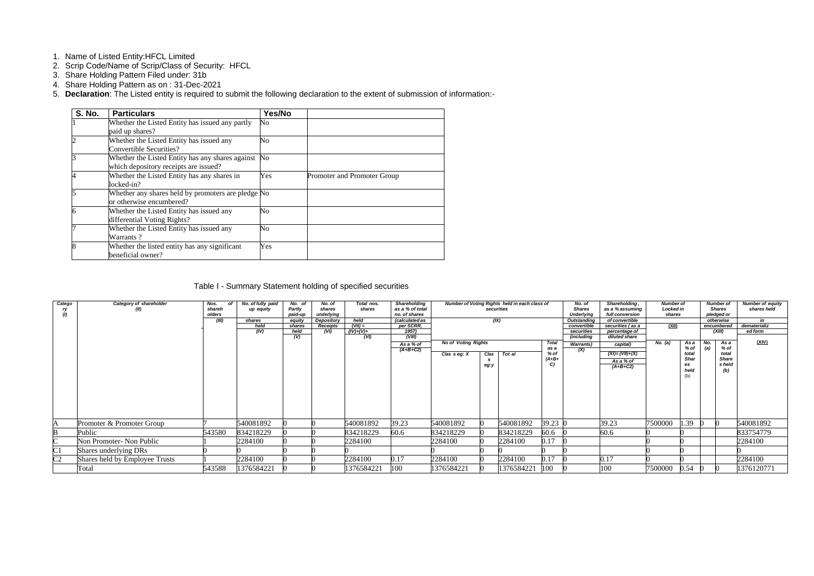- 1. Name of Listed Entity:HFCL Limited
- 2. Scrip Code/Name of Scrip/Class of Security: HFCL
- 3. Share Holding Pattern Filed under: 31b
- 4. Share Holding Pattern as on : 31-Dec-2021
- 5. **Declaration**: The Listed entity is required to submit the following declaration to the extent of submission of information:-

| <b>S. No.</b> | <b>Particulars</b>                                 | Yes/No         |                             |
|---------------|----------------------------------------------------|----------------|-----------------------------|
|               | Whether the Listed Entity has issued any partly    | N <sub>o</sub> |                             |
|               | paid up shares?                                    |                |                             |
|               | Whether the Listed Entity has issued any           | N <sub>o</sub> |                             |
|               | <b>Convertible Securities?</b>                     |                |                             |
|               | Whether the Listed Entity has any shares against   | N <sub>o</sub> |                             |
|               | which depository receipts are issued?              |                |                             |
|               | Whether the Listed Entity has any shares in        | Yes            | Promoter and Promoter Group |
|               | locked-in?                                         |                |                             |
|               | Whether any shares held by promoters are pledge No |                |                             |
|               | or otherwise encumbered?                           |                |                             |
|               | Whether the Listed Entity has issued any           | No             |                             |
|               | differential Voting Rights?                        |                |                             |
|               | Whether the Listed Entity has issued any           | No             |                             |
|               | Warrants?                                          |                |                             |
|               | Whether the listed entity has any significant      | Yes            |                             |
|               | beneficial owner?                                  |                |                             |

Table I - Summary Statement holding of specified securities

| Catego<br>ry<br>(1) | Category of shareholder<br>(II) | Nos.<br>οf<br>shareh<br>olders<br>(III) | No. of fully paid<br>up equity<br>shares<br>held<br>(IV) | No. of<br>Partly<br>paid-up<br>equity<br>shares<br>held<br>(V) | No. of<br>shares<br>underlying<br>Depository<br><b>Receipts</b><br>(VI) | Total nos.<br>shares<br>held<br>$(VII) =$<br>$(IV)+(V)+$<br>(VI) | <b>Shareholding</b><br>as a % of total<br>no. of shares<br><i>(calculated as</i><br>per SCRR,<br>1957)<br>(VIII)<br>As a % of | Number of Voting Rights held in each class of<br>securities<br>(IX)<br><b>No of Voting Rights</b><br><b>Total</b> |              |            |                                 |     |                                               |         |                                            |     |                                                |            | Shareholding,<br>No. of<br><b>Shares</b><br>as a % assuming<br><b>Underlying</b><br>full conversion<br>of convertible<br>Outstanding<br>securities (as a<br>convertible<br>securities<br>percentage of<br>diluted share<br>(including<br>capital)<br><b>Warrants</b> ) |  | <b>Number of</b><br>Locked in<br>shares<br>(XII)<br>No. (a) | As a | <b>Number of</b><br><b>Shares</b><br>pledged or<br>otherwise<br>encumbered<br>(XIII)<br>No.<br>As a |  | Number of equity<br>shares held<br>in<br>dematerializ<br>ed form<br>(XIV) |
|---------------------|---------------------------------|-----------------------------------------|----------------------------------------------------------|----------------------------------------------------------------|-------------------------------------------------------------------------|------------------------------------------------------------------|-------------------------------------------------------------------------------------------------------------------------------|-------------------------------------------------------------------------------------------------------------------|--------------|------------|---------------------------------|-----|-----------------------------------------------|---------|--------------------------------------------|-----|------------------------------------------------|------------|------------------------------------------------------------------------------------------------------------------------------------------------------------------------------------------------------------------------------------------------------------------------|--|-------------------------------------------------------------|------|-----------------------------------------------------------------------------------------------------|--|---------------------------------------------------------------------------|
|                     |                                 |                                         |                                                          |                                                                |                                                                         |                                                                  | $(A+B+C2)$                                                                                                                    | Clas seg: X                                                                                                       | Clas<br>eg:y | Tot al     | as a<br>$%$ of<br>$(A+B+$<br>C) | (X) | $(XI) = (VII)+(X)$<br>As a % of<br>$(A+B+C2)$ |         | % of<br>total<br><b>Shar</b><br>es<br>held | (a) | % of<br>total<br><b>Share</b><br>s held<br>(b) |            |                                                                                                                                                                                                                                                                        |  |                                                             |      |                                                                                                     |  |                                                                           |
| A                   | Promoter & Promoter Group       |                                         | 540081892                                                |                                                                |                                                                         | 540081892                                                        | 39.23                                                                                                                         | 540081892                                                                                                         |              | 540081892  | 39.23 0                         |     | 39.23                                         | 7500000 | 1.39                                       |     |                                                | 540081892  |                                                                                                                                                                                                                                                                        |  |                                                             |      |                                                                                                     |  |                                                                           |
| B                   | Public                          | 543580                                  | 834218229                                                |                                                                |                                                                         | 834218229                                                        | 60.6                                                                                                                          | 834218229                                                                                                         |              | 834218229  | 60.6                            |     | 60.6                                          |         |                                            |     |                                                | 833754779  |                                                                                                                                                                                                                                                                        |  |                                                             |      |                                                                                                     |  |                                                                           |
| $\sim$              | Non Promoter- Non Public        |                                         | 2284100                                                  |                                                                |                                                                         | 2284100                                                          |                                                                                                                               | 2284100                                                                                                           |              | 2284100    | 0.17                            |     |                                               |         |                                            |     |                                                | 2284100    |                                                                                                                                                                                                                                                                        |  |                                                             |      |                                                                                                     |  |                                                                           |
| $\overline{\rm C1}$ | Shares underlying DRs           |                                         |                                                          |                                                                |                                                                         |                                                                  |                                                                                                                               |                                                                                                                   |              |            |                                 |     |                                               |         |                                            |     |                                                |            |                                                                                                                                                                                                                                                                        |  |                                                             |      |                                                                                                     |  |                                                                           |
| C <sub>2</sub>      | Shares held by Employee Trusts  |                                         | 2284100                                                  |                                                                |                                                                         | 2284100                                                          | 0.17                                                                                                                          | 2284100                                                                                                           |              | 2284100    | 0.17                            |     | 0.17                                          |         |                                            |     |                                                | 2284100    |                                                                                                                                                                                                                                                                        |  |                                                             |      |                                                                                                     |  |                                                                           |
|                     | Total                           | 543588                                  | 1376584221                                               |                                                                |                                                                         | 1376584221                                                       | 100                                                                                                                           | 1376584221                                                                                                        |              | 1376584221 | 100                             |     | 100                                           | 7500000 | 0.54                                       |     |                                                | 1376120771 |                                                                                                                                                                                                                                                                        |  |                                                             |      |                                                                                                     |  |                                                                           |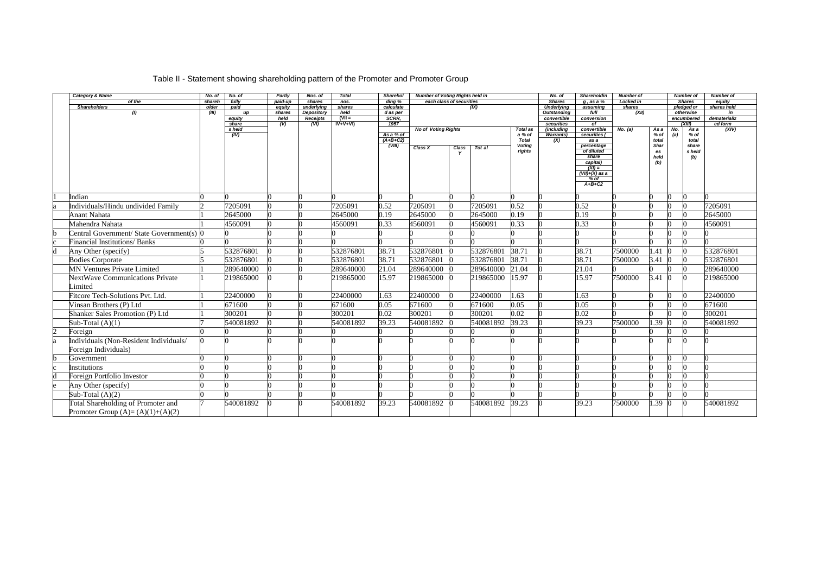## Table II - Statement showing shareholding pattern of the Promoter and Promoter Group

| Category & Name                           | No. of          | No. of          | Partly            | Nos. of              | <b>Total</b>   | <b>Sharehol</b>     | <b>Number of Voting Rights held in</b> |                          |           |                 | No. of                             | <b>Shareholdin</b>           | Number of                  |              |     | <b>Number of</b>            | <b>Number of</b>      |
|-------------------------------------------|-----------------|-----------------|-------------------|----------------------|----------------|---------------------|----------------------------------------|--------------------------|-----------|-----------------|------------------------------------|------------------------------|----------------------------|--------------|-----|-----------------------------|-----------------------|
| of the<br><b>Shareholders</b>             | shareh<br>older | fully<br>paid   | paid-up<br>equity | shares<br>underlying | nos.<br>shares | ding %<br>calculate |                                        | each class of securities | (IX)      |                 | <b>Shares</b><br><b>Underlying</b> | $q$ , as a $%$<br>assuming   | <b>Locked in</b><br>shares |              |     | <b>Shares</b><br>pledged or | equity<br>shares held |
| (1)                                       | (III)           | up              | shares            | Depository           | held           | d as per            |                                        |                          |           |                 | <b>Outstanding</b>                 | full                         | (XII)                      |              |     | otherwise                   | in                    |
|                                           |                 | equity          | held              | <b>Receipts</b>      | $(VII =$       | SCRR.               |                                        |                          |           |                 | convertible                        | conversion                   |                            |              |     | encumbered                  | dematerializ          |
|                                           |                 | share<br>s held | (V)               | (VI)                 | $IV + V + VI$  | 1957                | <b>No of Voting Rights</b>             |                          |           | <b>Total as</b> | securities<br>(including           | of<br>convertible            | No. (a)                    | As a         | No. | (XIII)<br>As a              | ed form<br>(XIV)      |
|                                           |                 | (IV)            |                   |                      |                | As a % of           |                                        |                          |           | a % of          | <b>Warrants</b> )                  | securities (                 |                            | % of         | (a) | % of                        |                       |
|                                           |                 |                 |                   |                      |                | $(A+B+C2)$          |                                        |                          |           | <b>Total</b>    | (X)                                | as a                         |                            | total        |     | total                       |                       |
|                                           |                 |                 |                   |                      |                | (VIII)              | Class X                                | Class                    | Tot al    | <b>Voting</b>   |                                    | percentage<br>of diluted     |                            | Shar         |     | share                       |                       |
|                                           |                 |                 |                   |                      |                |                     |                                        |                          |           | rights          |                                    | share                        |                            | es<br>held   |     | s held<br>(b)               |                       |
|                                           |                 |                 |                   |                      |                |                     |                                        |                          |           |                 |                                    | capital)                     |                            | (b)          |     |                             |                       |
|                                           |                 |                 |                   |                      |                |                     |                                        |                          |           |                 |                                    | $(XI) =$<br>$(VII)+(X)$ as a |                            |              |     |                             |                       |
|                                           |                 |                 |                   |                      |                |                     |                                        |                          |           |                 |                                    | % of                         |                            |              |     |                             |                       |
|                                           |                 |                 |                   |                      |                |                     |                                        |                          |           |                 |                                    | $A+B+C2$                     |                            |              |     |                             |                       |
|                                           |                 |                 |                   |                      |                |                     |                                        |                          |           |                 |                                    |                              |                            |              |     |                             |                       |
| Indian                                    |                 |                 |                   |                      |                |                     |                                        |                          |           |                 |                                    |                              |                            |              |     |                             |                       |
| Individuals/Hindu undivided Family        |                 | 7205091         |                   |                      | 7205091        | 0.52                | 7205091                                |                          | 7205091   | 0.52            |                                    | 0.52                         |                            |              |     |                             | 7205091               |
| <b>Anant Nahata</b>                       |                 | 2645000         |                   |                      | 2645000        | 0.19                | 2645000                                |                          | 2645000   | 0.19            |                                    | 0.19                         |                            |              |     |                             | 2645000               |
| Mahendra Nahata                           |                 | 4560091         |                   |                      | 4560091        | 0.33                | 4560091                                |                          | 4560091   | 0.33            |                                    | 0.33                         |                            |              |     |                             | 4560091               |
| Central Government/ State Government(s) 0 |                 |                 |                   |                      |                |                     |                                        |                          |           |                 |                                    |                              |                            |              |     |                             |                       |
| <b>Financial Institutions/ Banks</b>      |                 |                 |                   |                      |                |                     |                                        |                          |           |                 |                                    |                              |                            |              |     |                             |                       |
| Any Other (specify)                       |                 | 532876801       |                   |                      | 532876801      | 38.71               | 532876801                              |                          | 532876801 | 38.71           |                                    | 38.71                        | 7500000                    | 1.41         |     | In                          | 532876801             |
| <b>Bodies Corporate</b>                   |                 | 532876801       |                   |                      | 532876801      | 38.71               | 532876801                              |                          | 532876801 | 38.71           |                                    | 38.71                        | 7500000                    | $3.41 \ 0$   |     | n                           | 532876801             |
| <b>MN Ventures Private Limited</b>        |                 | 289640000       |                   |                      | 289640000      | 21.04               | 289640000                              |                          | 289640000 | 21.04           |                                    | 21.04                        |                            |              |     |                             | 289640000             |
| <b>NextWave Communications Private</b>    |                 | 219865000       |                   |                      | 219865000      | 15.97               | 219865000                              |                          | 219865000 | 15.97           |                                    | 15.97                        | 7500000                    | $3.41\;\;$ 0 |     |                             | 219865000             |
| Limited                                   |                 |                 |                   |                      |                |                     |                                        |                          |           |                 |                                    |                              |                            |              |     |                             |                       |
| Fitcore Tech-Solutions Pvt. Ltd.          |                 | 22400000        |                   |                      | 22400000       | 1.63                | 22400000                               |                          | 22400000  | 1.63            |                                    | 1.63                         |                            |              |     |                             | 22400000              |
| Vinsan Brothers (P) Ltd                   |                 | 671600          |                   |                      | 671600         | 0.05                | 671600                                 |                          | 671600    | 0.05            |                                    | 0.05                         |                            |              |     |                             | 671600                |
| Shanker Sales Promotion (P) Ltd           |                 | 300201          |                   |                      | 300201         | 0.02                | 300201                                 |                          | 300201    | 0.02            |                                    | 0.02                         |                            |              |     |                             | 300201                |
| Sub-Total $(A)(1)$                        |                 | 540081892       |                   |                      | 540081892      | 39.23               | 540081892                              |                          | 540081892 | 39.23           |                                    | 39.23                        | 7500000                    | .39          |     |                             | 540081892             |
| Foreign                                   |                 |                 |                   |                      |                |                     |                                        |                          |           |                 |                                    |                              |                            |              |     |                             |                       |
| Individuals (Non-Resident Individuals/    |                 |                 |                   |                      |                |                     |                                        |                          |           |                 |                                    |                              |                            |              |     |                             |                       |
| Foreign Individuals)                      |                 |                 |                   |                      |                |                     |                                        |                          |           |                 |                                    |                              |                            |              |     |                             |                       |
| Government                                |                 |                 |                   |                      |                |                     |                                        |                          |           |                 |                                    |                              |                            |              |     |                             |                       |
| Institutions                              |                 |                 |                   |                      |                |                     |                                        |                          |           |                 |                                    |                              |                            |              |     |                             |                       |
| Foreign Portfolio Investor                |                 |                 |                   |                      |                |                     |                                        |                          |           |                 |                                    |                              |                            |              |     |                             |                       |
| Any Other (specify)                       |                 |                 |                   |                      |                |                     |                                        |                          |           |                 |                                    |                              |                            |              |     |                             |                       |
| Sub-Total $(A)(2)$                        |                 |                 |                   |                      |                |                     |                                        |                          |           |                 |                                    |                              |                            |              |     |                             |                       |
| Total Shareholding of Promoter and        |                 | 540081892       |                   |                      | 540081892      | 39.23               | 540081892                              |                          | 540081892 | 39.23           |                                    | 39.23                        | 7500000                    | 1.39         |     | $\Omega$                    | 540081892             |
| Promoter Group $(A)=(A)(1)+(A)(2)$        |                 |                 |                   |                      |                |                     |                                        |                          |           |                 |                                    |                              |                            |              |     |                             |                       |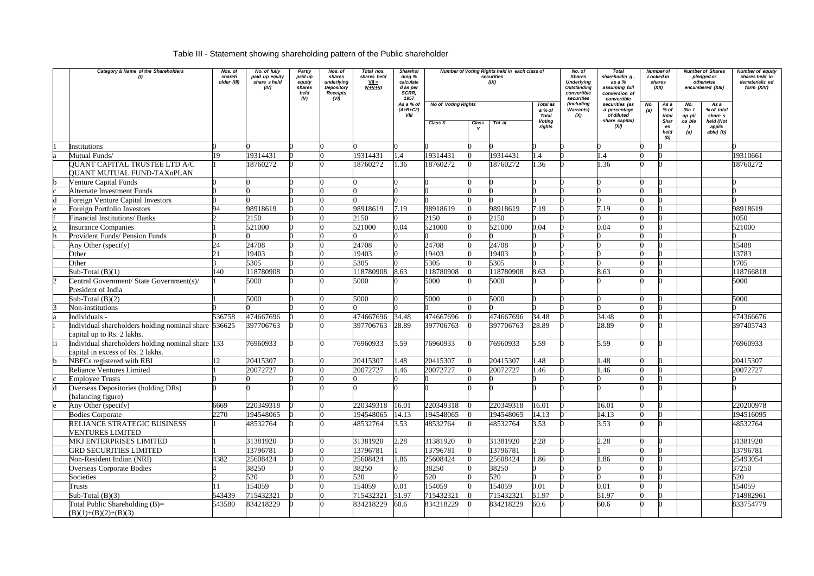## Table III - Statement showing shareholding pattern of the Public shareholder

|   | Category & Name of the Shareholders                                                    | Nos. of<br>shareh<br>older (III) | No. of fully<br>paid up equity<br>share sheld<br>(IV) | <b>Partly</b><br>paid-up<br>equity<br>shares<br>held<br>(V) | Nos. of<br>shares<br>underlying<br>Depository<br><b>Receipts</b><br>(VI) | Total nos.<br>shares held<br>$VII =$<br>$IV + V + VI$ | <b>Sharehol</b><br>ding %<br>calculate<br>d as per<br>SCRR,<br>1957 |                                       | Number of Voting Rights held in each class of<br>securities<br>(IX) |           |                                                                      | No. of<br><b>Shares</b><br><b>Underlying</b><br><b>Outstanding</b><br>convertible<br>securities | <b>Total</b><br>shareholdin g,<br>as a %<br>assuming full<br>conversion of<br>convertible |            | <b>Number of Shares</b><br>Number of<br>pledged or<br>Locked in<br>otherwise<br>shares<br>(XII)<br>encumbered (XIII) |                                         | <b>Number of equity</b><br>shares held in<br>dematerializ ed<br>form (XIV) |           |
|---|----------------------------------------------------------------------------------------|----------------------------------|-------------------------------------------------------|-------------------------------------------------------------|--------------------------------------------------------------------------|-------------------------------------------------------|---------------------------------------------------------------------|---------------------------------------|---------------------------------------------------------------------|-----------|----------------------------------------------------------------------|-------------------------------------------------------------------------------------------------|-------------------------------------------------------------------------------------------|------------|----------------------------------------------------------------------------------------------------------------------|-----------------------------------------|----------------------------------------------------------------------------|-----------|
|   |                                                                                        |                                  |                                                       |                                                             |                                                                          |                                                       | As a % of<br>$(A+B+C2)$<br><b>VIII</b>                              | <b>No of Voting Rights</b><br>Class X | Class                                                               | Tot al    | <b>Total as</b><br>a % of<br><b>Total</b><br><b>Voting</b><br>rights | (including<br><b>Warrants</b> )<br>(X)                                                          | securities (as<br>a percentage<br>of diluted<br>share capital)<br>(XI)                    | No.<br>(a) | As a<br>% of<br>total<br>Shar<br>es<br>held                                                                          | No.<br>(No t<br>ap pli<br>ca ble<br>(a) | As a<br>% of total<br>share s<br>held (Not<br>applic<br>$able)$ (b)        |           |
|   | Institutions                                                                           |                                  |                                                       |                                                             |                                                                          |                                                       |                                                                     |                                       |                                                                     |           |                                                                      |                                                                                                 |                                                                                           |            | (b)                                                                                                                  |                                         |                                                                            |           |
|   | Mutual Funds/                                                                          | 19                               | 19314431                                              |                                                             |                                                                          | 19314431                                              | 1.4                                                                 | 19314431                              |                                                                     | 19314431  | $\mathsf{I}$ .4                                                      |                                                                                                 |                                                                                           |            |                                                                                                                      |                                         |                                                                            | 19310661  |
|   | QUANT CAPITAL TRUSTEE LTD A/C<br><b>QUANT MUTUAL FUND-TAXnPLAN</b>                     |                                  | 18760272                                              |                                                             |                                                                          | 18760272                                              | 1.36                                                                | 18760272                              |                                                                     | 18760272  | 1.36                                                                 |                                                                                                 | .36                                                                                       |            |                                                                                                                      |                                         |                                                                            | 18760272  |
|   | <b>Venture Capital Funds</b>                                                           |                                  |                                                       |                                                             |                                                                          |                                                       |                                                                     |                                       |                                                                     |           |                                                                      |                                                                                                 |                                                                                           |            |                                                                                                                      |                                         |                                                                            |           |
|   | Alternate Investment Funds                                                             |                                  |                                                       |                                                             |                                                                          |                                                       |                                                                     |                                       |                                                                     |           |                                                                      |                                                                                                 |                                                                                           |            |                                                                                                                      |                                         |                                                                            |           |
|   | <b>Foreign Venture Capital Investors</b>                                               |                                  |                                                       |                                                             |                                                                          |                                                       |                                                                     |                                       |                                                                     |           |                                                                      |                                                                                                 |                                                                                           |            |                                                                                                                      |                                         |                                                                            |           |
|   | Foreign Portfolio Investors                                                            | 94                               | 98918619                                              |                                                             |                                                                          | 98918619                                              | 7.19                                                                | 98918619                              |                                                                     | 98918619  | 7.19                                                                 |                                                                                                 | 7.19                                                                                      |            |                                                                                                                      |                                         |                                                                            | 98918619  |
|   | <b>Financial Institutions/ Banks</b>                                                   |                                  | 2150                                                  |                                                             |                                                                          | 2150                                                  |                                                                     | 2150                                  |                                                                     | 2150      |                                                                      |                                                                                                 |                                                                                           |            |                                                                                                                      |                                         |                                                                            | 1050      |
|   | <b>Insurance Companies</b>                                                             |                                  | 521000                                                |                                                             |                                                                          | 521000                                                | 0.04                                                                | 521000                                |                                                                     | 521000    | 0.04                                                                 |                                                                                                 | 0.04                                                                                      |            |                                                                                                                      |                                         |                                                                            | 521000    |
|   | Provident Funds/ Pension Funds                                                         |                                  |                                                       |                                                             |                                                                          |                                                       |                                                                     |                                       |                                                                     |           |                                                                      |                                                                                                 |                                                                                           |            |                                                                                                                      |                                         |                                                                            |           |
|   | Any Other (specify)                                                                    | 24                               | 24708                                                 |                                                             |                                                                          | 24708                                                 |                                                                     | 24708                                 |                                                                     | 24708     |                                                                      |                                                                                                 |                                                                                           |            |                                                                                                                      |                                         |                                                                            | 15488     |
|   | Other                                                                                  | 21                               | 19403                                                 |                                                             |                                                                          | 19403                                                 |                                                                     | 19403                                 |                                                                     | 19403     |                                                                      |                                                                                                 |                                                                                           |            |                                                                                                                      |                                         |                                                                            | 13783     |
|   | Other                                                                                  |                                  | 5305                                                  |                                                             |                                                                          | 5305                                                  |                                                                     | 5305                                  |                                                                     | 5305      |                                                                      |                                                                                                 |                                                                                           |            |                                                                                                                      |                                         |                                                                            | 1705      |
|   | Sub-Total $(B)(1)$                                                                     | 140                              | 118780908                                             |                                                             |                                                                          | 18780908                                              | 8.63                                                                | 118780908                             |                                                                     | 118780908 | 8.63                                                                 |                                                                                                 | 8.63                                                                                      |            |                                                                                                                      |                                         |                                                                            | 118766818 |
|   | Central Government/ State Government(s)/                                               |                                  | 5000                                                  |                                                             |                                                                          | 5000                                                  |                                                                     | 5000                                  |                                                                     | 5000      |                                                                      |                                                                                                 |                                                                                           |            |                                                                                                                      |                                         |                                                                            | 5000      |
|   | President of India                                                                     |                                  |                                                       |                                                             |                                                                          |                                                       |                                                                     |                                       |                                                                     |           |                                                                      |                                                                                                 |                                                                                           |            |                                                                                                                      |                                         |                                                                            |           |
|   | Sub-Total $(B)(2)$                                                                     |                                  | 5000                                                  |                                                             |                                                                          | 5000                                                  |                                                                     | 5000                                  |                                                                     | 5000      |                                                                      |                                                                                                 |                                                                                           |            |                                                                                                                      |                                         |                                                                            | 5000      |
|   | Non-institutions                                                                       |                                  |                                                       |                                                             |                                                                          |                                                       |                                                                     |                                       |                                                                     |           |                                                                      |                                                                                                 |                                                                                           |            |                                                                                                                      |                                         |                                                                            |           |
|   | Individuals -                                                                          | 536758                           | 474667696                                             |                                                             |                                                                          | 474667696                                             | 34.48                                                               | 474667696                             |                                                                     | 474667696 | 34.48                                                                |                                                                                                 | 34.48                                                                                     |            |                                                                                                                      |                                         |                                                                            | 474366676 |
|   | Individual shareholders holding nominal share 536625                                   |                                  | 397706763                                             |                                                             |                                                                          | 397706763                                             | 28.89                                                               | 397706763                             |                                                                     | 397706763 | 28.89                                                                |                                                                                                 | 28.89                                                                                     |            |                                                                                                                      |                                         |                                                                            | 397405743 |
|   | capital up to Rs. 2 lakhs.                                                             |                                  |                                                       |                                                             |                                                                          |                                                       |                                                                     |                                       |                                                                     |           |                                                                      |                                                                                                 |                                                                                           |            |                                                                                                                      |                                         |                                                                            |           |
|   | Individual shareholders holding nominal share 133<br>capital in excess of Rs. 2 lakhs. |                                  | 76960933                                              |                                                             |                                                                          | 76960933                                              | 5.59                                                                | 76960933                              |                                                                     | 76960933  | 5.59                                                                 |                                                                                                 | 5.59                                                                                      |            |                                                                                                                      |                                         |                                                                            | 76960933  |
|   | NBFCs registered with RBI                                                              | 12                               | 20415307                                              |                                                             |                                                                          | 20415307                                              | 1.48                                                                | 20415307                              |                                                                     | 20415307  | 1.48                                                                 |                                                                                                 | l.48                                                                                      |            |                                                                                                                      |                                         |                                                                            | 20415307  |
|   | <b>Reliance Ventures Limited</b>                                                       |                                  | 20072727                                              | $\Omega$                                                    |                                                                          | 20072727                                              | 1.46                                                                | 20072727                              |                                                                     | 20072727  | 1.46                                                                 |                                                                                                 | 1.46                                                                                      |            |                                                                                                                      |                                         |                                                                            | 20072727  |
|   | <b>Employee Trusts</b>                                                                 |                                  |                                                       |                                                             |                                                                          |                                                       |                                                                     |                                       |                                                                     |           |                                                                      |                                                                                                 |                                                                                           |            |                                                                                                                      |                                         |                                                                            |           |
| d | Overseas Depositories (holding DRs)<br>(balancing figure)                              |                                  |                                                       |                                                             |                                                                          |                                                       |                                                                     |                                       |                                                                     |           |                                                                      |                                                                                                 |                                                                                           |            |                                                                                                                      |                                         |                                                                            |           |
|   | Any Other (specify)                                                                    | 6669                             | 220349318                                             |                                                             |                                                                          | 220349318                                             | 16.01                                                               | 220349318                             |                                                                     | 220349318 | 16.01                                                                |                                                                                                 | 16.01                                                                                     |            |                                                                                                                      |                                         |                                                                            | 220200978 |
|   | <b>Bodies Corporate</b>                                                                | 2270                             | 194548065                                             |                                                             |                                                                          | 194548065                                             | 14.13                                                               | 194548065                             |                                                                     | 194548065 | 14.13                                                                |                                                                                                 | 14.13                                                                                     |            |                                                                                                                      |                                         |                                                                            | 194516095 |
|   | RELIANCE STRATEGIC BUSINESS<br><b>VENTURES LIMITED</b>                                 |                                  | 48532764                                              |                                                             |                                                                          | 48532764                                              | 3.53                                                                | 48532764                              |                                                                     | 48532764  | 3.53                                                                 |                                                                                                 | 3.53                                                                                      |            |                                                                                                                      |                                         |                                                                            | 48532764  |
|   | MKJ ENTERPRISES LIMITED                                                                |                                  | 31381920                                              |                                                             |                                                                          | 31381920                                              | 2.28                                                                | 31381920                              |                                                                     | 31381920  | 2.28                                                                 |                                                                                                 | 2.28                                                                                      |            |                                                                                                                      |                                         |                                                                            | 31381920  |
|   | <b>GRD SECURITIES LIMITED</b>                                                          |                                  | 13796781                                              |                                                             |                                                                          | 13796781                                              |                                                                     | 13796781                              |                                                                     | 13796781  |                                                                      |                                                                                                 |                                                                                           |            |                                                                                                                      |                                         |                                                                            | 13796781  |
|   | Non-Resident Indian (NRI)                                                              | 4382                             | 25608424                                              |                                                             |                                                                          | 25608424                                              | 1.86                                                                | 25608424                              |                                                                     | 25608424  | 1.86                                                                 |                                                                                                 | 1.86                                                                                      |            |                                                                                                                      |                                         |                                                                            | 25493054  |
|   | <b>Overseas Corporate Bodies</b>                                                       |                                  | 38250                                                 |                                                             |                                                                          | 38250                                                 |                                                                     | 38250                                 |                                                                     | 38250     |                                                                      |                                                                                                 |                                                                                           |            |                                                                                                                      |                                         |                                                                            | 37250     |
|   | Societies                                                                              |                                  | 520                                                   |                                                             |                                                                          | 520                                                   |                                                                     | 520                                   |                                                                     | 520       |                                                                      |                                                                                                 |                                                                                           |            |                                                                                                                      |                                         |                                                                            | 520       |
|   | Trusts                                                                                 |                                  | 154059                                                |                                                             |                                                                          | 154059                                                | 0.01                                                                | 154059                                |                                                                     | 154059    | 0.01                                                                 |                                                                                                 | 0.01                                                                                      |            |                                                                                                                      |                                         |                                                                            | 154059    |
|   | Sub-Total $(B)(3)$                                                                     | 543439                           | 715432321                                             |                                                             |                                                                          | 715432321                                             | 51.97                                                               | 715432321                             |                                                                     | 715432321 | 51.97                                                                |                                                                                                 | 51.97                                                                                     |            |                                                                                                                      |                                         |                                                                            | 714982961 |
|   | Total Public Shareholding $(B)=$<br>$(B)(1)+(B)(2)+(B)(3)$                             | 543580                           | 834218229                                             |                                                             |                                                                          | 834218229                                             | 60.6                                                                | 834218229                             |                                                                     | 834218229 | 60.6                                                                 |                                                                                                 | 60.6                                                                                      |            |                                                                                                                      |                                         |                                                                            | 833754779 |